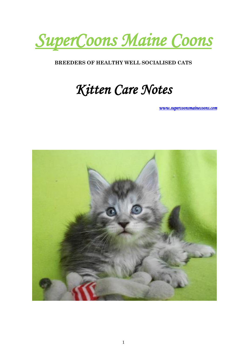

#### **BREEDERS OF HEALTHY WELL SOCIALISED CATS**

#### *Kitten Care Notes*

*[www.supercoonsmainecoons.com](http://www.supercoonsmainecoons.com/)* 

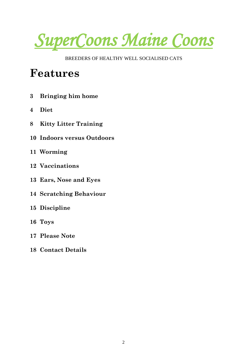*SuperCoons Maine Coons*

BREEDERS OF HEALTHY WELL SOCIALISED CATS

#### **Features**

- **3 Bringing him home**
- **4 Diet**
- **8 Kitty Litter Training**
- **10 Indoors versus Outdoors**
- **11 Worming**
- **12 Vaccinations**
- **13 Ears, Nose and Eyes**
- **14 Scratching Behaviour**
- **15 Discipline**
- **16 Toys**
- **17 Please Note**
- **18 Contact Details**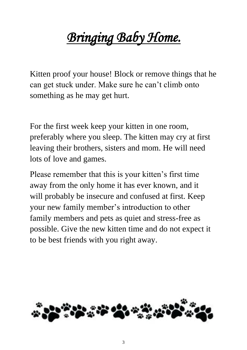### *Bringing Baby Home.*

Kitten proof your house! Block or remove things that he can get stuck under. Make sure he can't climb onto something as he may get hurt.

For the first week keep your kitten in one room, preferably where you sleep. The kitten may cry at first leaving their brothers, sisters and mom. He will need lots of love and games.

Please remember that this is your kitten's first time away from the only home it has ever known, and it will probably be insecure and confused at first. Keep your new family member's introduction to other family members and pets as quiet and stress-free as possible. Give the new kitten time and do not expect it to be best friends with you right away.

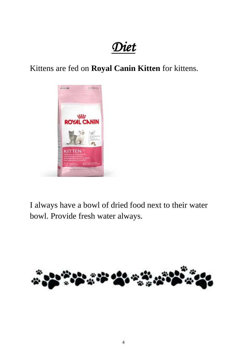#### *Diet*

Kittens are fed on **Royal Canin Kitten** for kittens.



I always have a bowl of dried food next to their water bowl. Provide fresh water always.

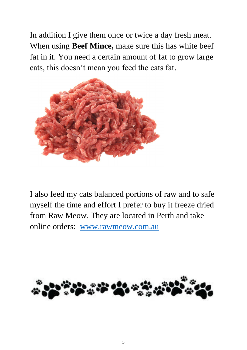In addition I give them once or twice a day fresh meat. When using **Beef Mince,** make sure this has white beef fat in it. You need a certain amount of fat to grow large cats, this doesn't mean you feed the cats fat.



I also feed my cats balanced portions of raw and to safe myself the time and effort I prefer to buy it freeze dried from Raw Meow. They are located in Perth and take online orders: [www.rawmeow.com.au](http://www.rawmeow.com.au/)

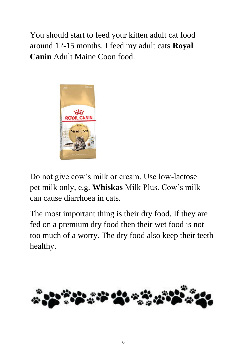You should start to feed your kitten adult cat food around 12-15 months. I feed my adult cats **Royal Canin** Adult Maine Coon food.



Do not give cow's milk or cream. Use low-lactose pet milk only, e.g. **Whiskas** Milk Plus. Cow's milk can cause diarrhoea in cats.

The most important thing is their dry food. If they are fed on a premium dry food then their wet food is not too much of a worry. The dry food also keep their teeth healthy.

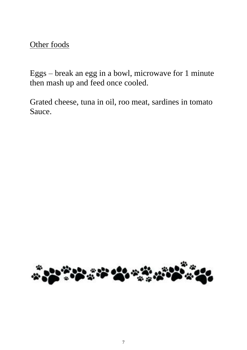Other foods

Eggs – break an egg in a bowl, microwave for 1 minute then mash up and feed once cooled.

Grated cheese, tuna in oil, roo meat, sardines in tomato Sauce.

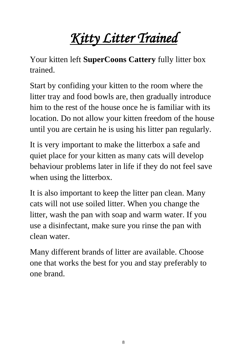## *Kitty Litter Trained*

Your kitten left **SuperCoons Cattery** fully litter box trained.

Start by confiding your kitten to the room where the litter tray and food bowls are, then gradually introduce him to the rest of the house once he is familiar with its location. Do not allow your kitten freedom of the house until you are certain he is using his litter pan regularly.

It is very important to make the litterbox a safe and quiet place for your kitten as many cats will develop behaviour problems later in life if they do not feel save when using the litterbox.

It is also important to keep the litter pan clean. Many cats will not use soiled litter. When you change the litter, wash the pan with soap and warm water. If you use a disinfectant, make sure you rinse the pan with clean water.

Many different brands of litter are available. Choose one that works the best for you and stay preferably to one brand.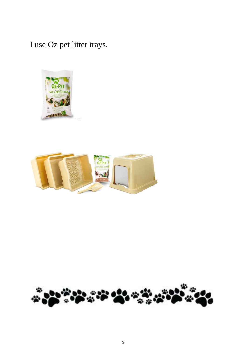I use Oz pet litter trays.





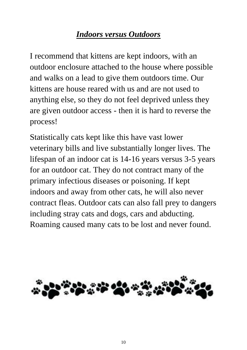#### *Indoors versus Outdoors*

I recommend that kittens are kept indoors, with an outdoor enclosure attached to the house where possible and walks on a lead to give them outdoors time. Our kittens are house reared with us and are not used to anything else, so they do not feel deprived unless they are given outdoor access - then it is hard to reverse the process!

Statistically cats kept like this have vast lower veterinary bills and live substantially longer lives. The lifespan of an indoor cat is 14-16 years versus 3-5 years for an outdoor cat. They do not contract many of the primary infectious diseases or poisoning. If kept indoors and away from other cats, he will also never contract fleas. Outdoor cats can also fall prey to dangers including stray cats and dogs, cars and abducting. Roaming caused many cats to be lost and never found.

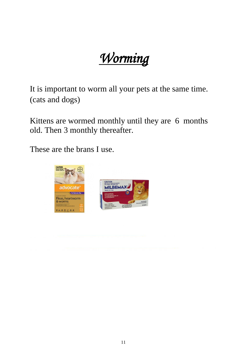*Worming*

It is important to worm all your pets at the same time. (cats and dogs)

Kittens are wormed monthly until they are 6 months old. Then 3 monthly thereafter.

These are the brans I use.

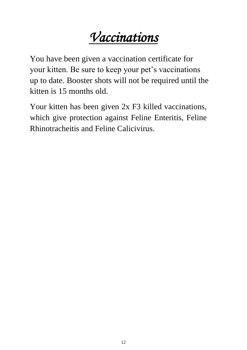#### *Vaccinations*

You have been given a vaccination certificate for your kitten. Be sure to keep your pet's vaccinations up to date. Booster shots will not be required until the kitten is 15 months old.

Your kitten has been given  $2x$  F3 killed vaccinations, which give protection against Feline Enteritis, Feline Rhinotracheitis and Feline Calicivirus.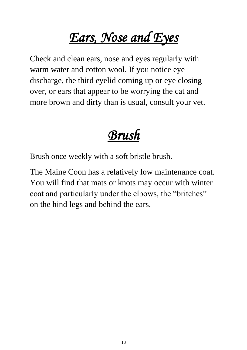## *Ears, Nose and Eyes*

Check and clean ears, nose and eyes regularly with warm water and cotton wool. If you notice eye discharge, the third eyelid coming up or eye closing over, or ears that appear to be worrying the cat and more brown and dirty than is usual, consult your vet.

#### *Brush*

Brush once weekly with a soft bristle brush.

The Maine Coon has a relatively low maintenance coat. You will find that mats or knots may occur with winter coat and particularly under the elbows, the "britches" on the hind legs and behind the ears.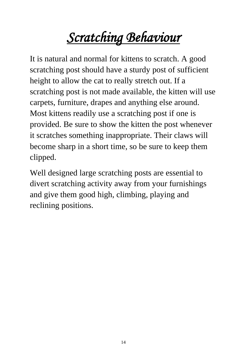# *Scratching Behaviour*

It is natural and normal for kittens to scratch. A good scratching post should have a sturdy post of sufficient height to allow the cat to really stretch out. If a scratching post is not made available, the kitten will use carpets, furniture, drapes and anything else around. Most kittens readily use a scratching post if one is provided. Be sure to show the kitten the post whenever it scratches something inappropriate. Their claws will become sharp in a short time, so be sure to keep them clipped.

Well designed large scratching posts are essential to divert scratching activity away from your furnishings and give them good high, climbing, playing and reclining positions.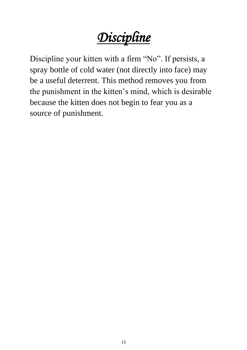*Discipline*

Discipline your kitten with a firm "No". If persists, a spray bottle of cold water (not directly into face) may be a useful deterrent. This method removes you from the punishment in the kitten's mind, which is desirable because the kitten does not begin to fear you as a source of punishment.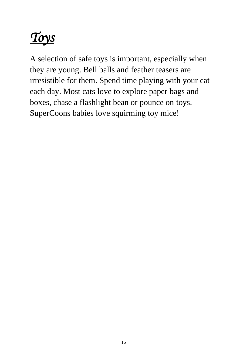# *Toys*

A selection of safe toys is important, especially when they are young. Bell balls and feather teasers are irresistible for them. Spend time playing with your cat each day. Most cats love to explore paper bags and boxes, chase a flashlight bean or pounce on toys. SuperCoons babies love squirming toy mice!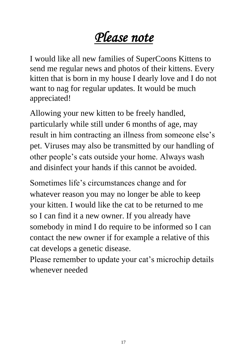#### *Please note*

I would like all new families of SuperCoons Kittens to send me regular news and photos of their kittens. Every kitten that is born in my house I dearly love and I do not want to nag for regular updates. It would be much appreciated!

Allowing your new kitten to be freely handled, particularly while still under 6 months of age, may result in him contracting an illness from someone else's pet. Viruses may also be transmitted by our handling of other people's cats outside your home. Always wash and disinfect your hands if this cannot be avoided.

Sometimes life's circumstances change and for whatever reason you may no longer be able to keep your kitten. I would like the cat to be returned to me so I can find it a new owner. If you already have somebody in mind I do require to be informed so I can contact the new owner if for example a relative of this cat develops a genetic disease.

Please remember to update your cat's microchip details whenever needed